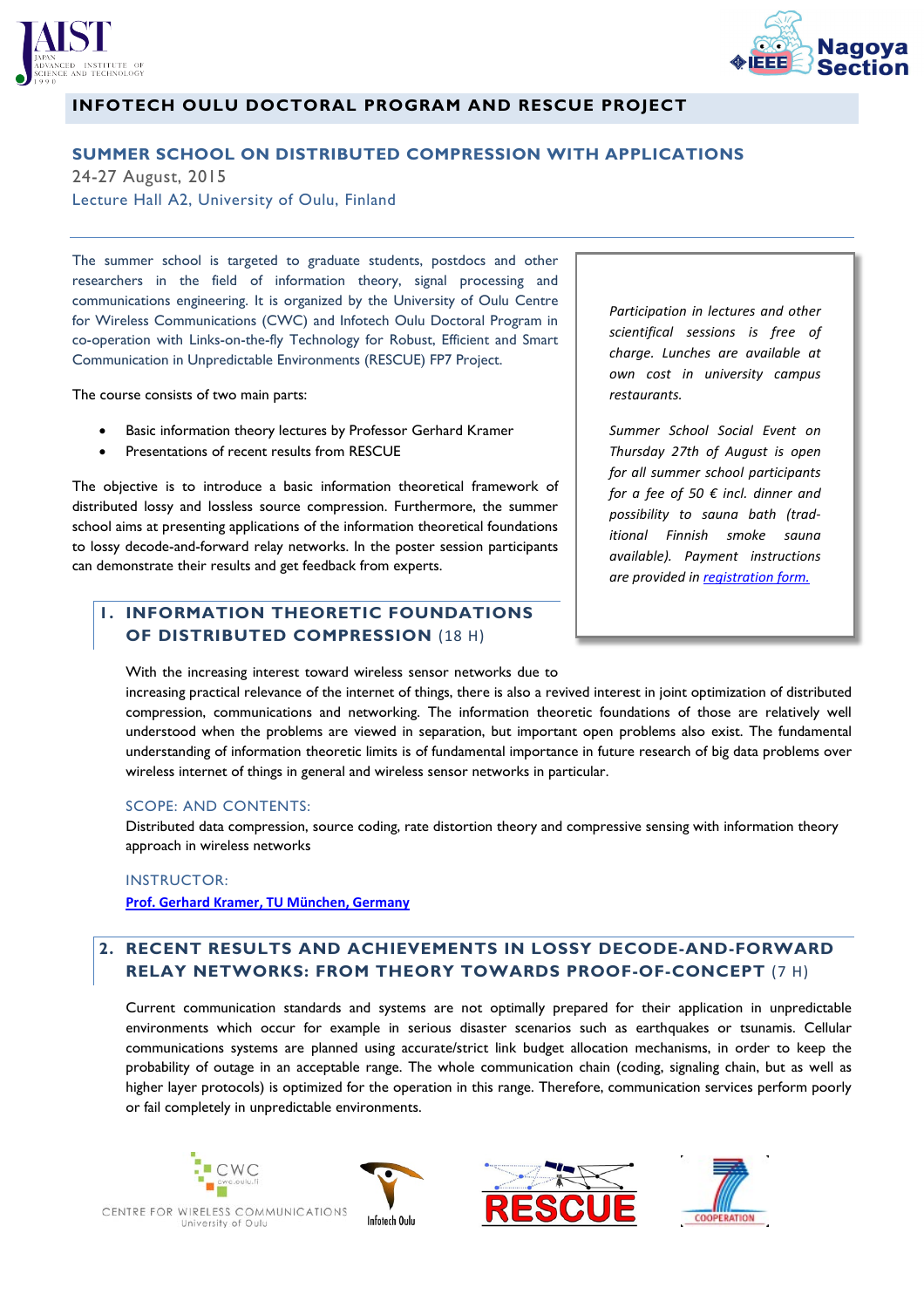



# **INFOTECH OULU DOCTORAL PROGRAM AND RESCUE PROJECT**

#### **SUMMER SCHOOL ON DISTRIBUTED COMPRESSION WITH APPLICATIONS**

24-27 August, 2015 Lecture Hall A2, University of Oulu, Finland

The summer school is targeted to graduate students, postdocs and other researchers in the field of information theory, signal processing and communications engineering. It is organized by the University of Oulu Centre for Wireless Communications (CWC) and Infotech Oulu Doctoral Program in co-operation with Links-on-the-fly Technology for Robust, Efficient and Smart Communication in Unpredictable Environments (RESCUE) FP7 Project.

The course consists of two main parts:

- **•** Basic information theory lectures by Professor Gerhard Kramer
- Presentations of recent results from RESCUE

The objective is to introduce a basic information theoretical framework of distributed lossy and lossless source compression. Furthermore, the summer school aims at presenting applications of the information theoretical foundations to lossy decode-and-forward relay networks. In the poster session participants can demonstrate their results and get feedback from experts.

# **1. INFORMATION THEORETIC FOUNDATIONS OF DISTRIBUTED COMPRESSION** (18 H)

*Participation in lectures and other scientifical sessions is free of charge. Lunches are available at own cost in university campus restaurants.* 

*Summer School Social Event on Thursday 27th of August is open for all summer school participants for a fee of 50 € incl. dinner and possibility to sauna bath (traditional Finnish smoke sauna available). Payment instructions are provided in registration form.*

With the increasing interest toward wireless sensor networks due to

increasing practical relevance of the internet of things, there is also a revived interest in joint optimization of distributed compression, communications and networking. The information theoretic foundations of those are relatively well understood when the problems are viewed in separation, but important open problems also exist. The fundamental understanding of information theoretic limits is of fundamental importance in future research of big data problems over wireless internet of things in general and wireless sensor networks in particular.

#### SCOPE: AND CONTENTS:

Distributed data compression, source coding, rate distortion theory and compressive sensing with information theory approach in wireless networks

### INSTRUCTOR: **Prof. Gerhard Kramer, TU München, Germany**

# **2. RECENT RESULTS AND ACHIEVEMENTS IN LOSSY DECODE-AND-FORWARD RELAY NETWORKS: FROM THEORY TOWARDS PROOF-OF-CONCEPT** (7 H)

Current communication standards and systems are not optimally prepared for their application in unpredictable environments which occur for example in serious disaster scenarios such as earthquakes or tsunamis. Cellular communications systems are planned using accurate/strict link budget allocation mechanisms, in order to keep the probability of outage in an acceptable range. The whole communication chain (coding, signaling chain, but as well as higher layer protocols) is optimized for the operation in this range. Therefore, communication services perform poorly or fail completely in unpredictable environments.







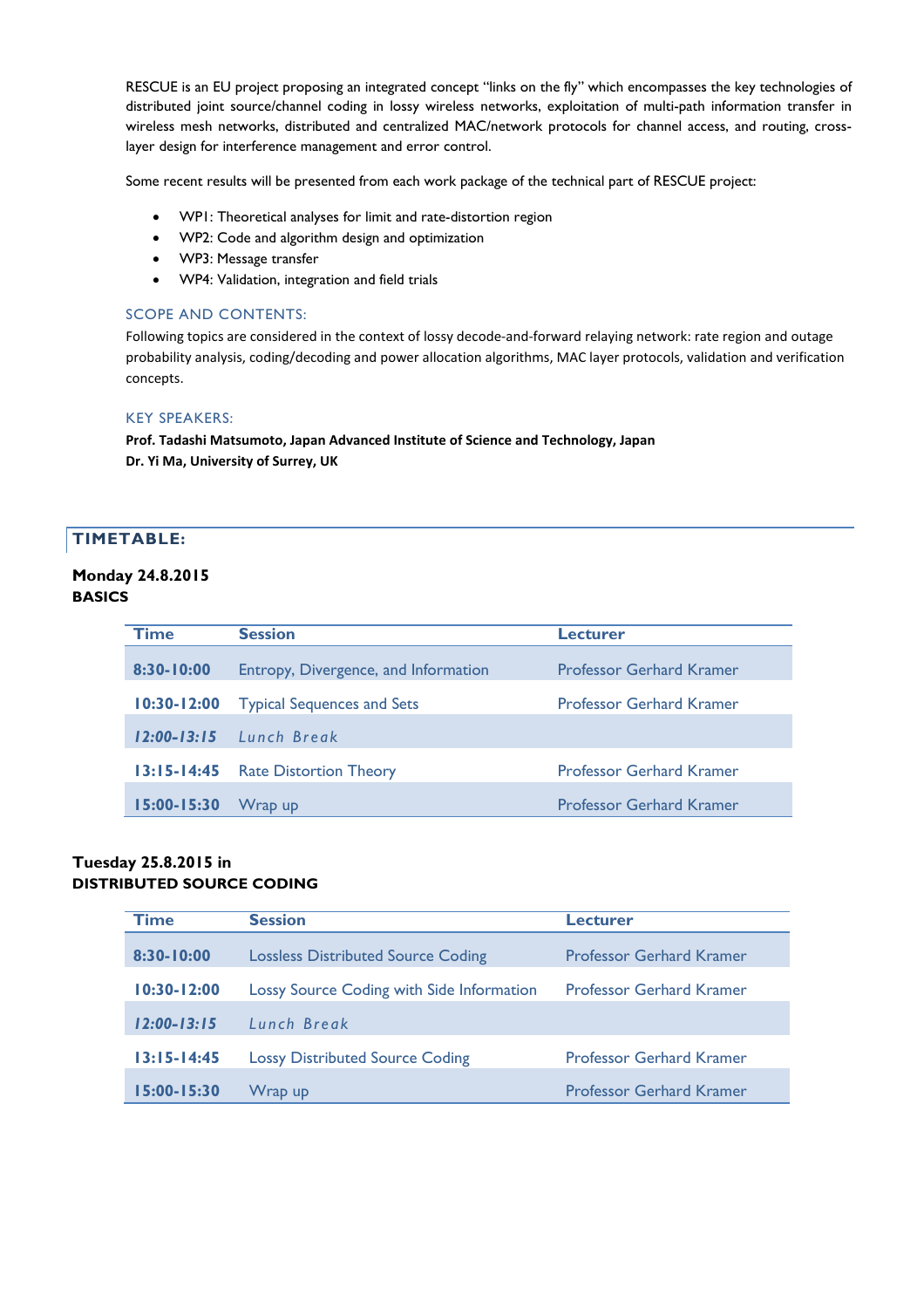RESCUE is an EU project proposing an integrated concept "links on the fly" which encompasses the key technologies of distributed joint source/channel coding in lossy wireless networks, exploitation of multi-path information transfer in wireless mesh networks, distributed and centralized MAC/network protocols for channel access, and routing, crosslayer design for interference management and error control.

Some recent results will be presented from each work package of the technical part of RESCUE project:

- WPI: Theoretical analyses for limit and rate-distortion region
- WP2: Code and algorithm design and optimization
- WP3: Message transfer
- WP4: Validation, integration and field trials

#### SCOPE AND CONTENTS:

Following topics are considered in the context of lossy decode-and-forward relaying network: rate region and outage probability analysis, coding/decoding and power allocation algorithms, MAC layer protocols, validation and verification concepts.

#### KEY SPEAKERS:

**Prof. Tadashi Matsumoto, Japan Advanced Institute of Science and Technology, Japan Dr. Yi Ma, University of Surrey, UK**

#### **TIMETABLE:**

#### **Monday 24.8.2015 BASICS**

| Time            | <b>Session</b>                       | <b>Lecturer</b>                 |
|-----------------|--------------------------------------|---------------------------------|
| $8:30 - 10:00$  | Entropy, Divergence, and Information | <b>Professor Gerhard Kramer</b> |
| $10:30 - 12:00$ | <b>Typical Sequences and Sets</b>    | <b>Professor Gerhard Kramer</b> |
| $12:00 - 13:15$ | Lunch Break                          |                                 |
| $13:15 - 14:45$ | <b>Rate Distortion Theory</b>        | <b>Professor Gerhard Kramer</b> |
| $15:00 - 15:30$ | Wrap up                              | <b>Professor Gerhard Kramer</b> |

#### **Tuesday 25.8.2015 in DISTRIBUTED SOURCE CODING**

| <b>Time</b>     | <b>Session</b>                            | Lecturer                        |
|-----------------|-------------------------------------------|---------------------------------|
| 8:30-10:00      | <b>Lossless Distributed Source Coding</b> | <b>Professor Gerhard Kramer</b> |
| $10:30 - 12:00$ | Lossy Source Coding with Side Information | <b>Professor Gerhard Kramer</b> |
| $12:00 - 13:15$ | Lunch Break                               |                                 |
| $13:15 - 14:45$ | <b>Lossy Distributed Source Coding</b>    | <b>Professor Gerhard Kramer</b> |
| 15:00-15:30     | Wrap up                                   | <b>Professor Gerhard Kramer</b> |